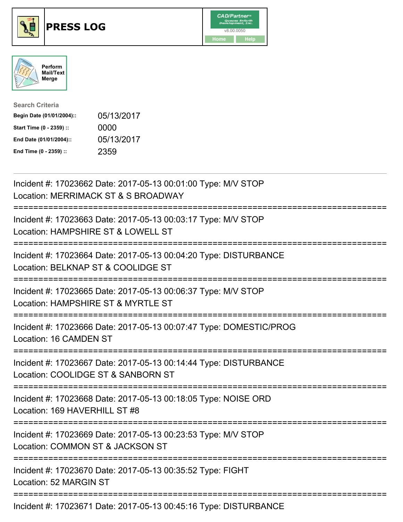





| <b>Search Criteria</b>    |            |
|---------------------------|------------|
| Begin Date (01/01/2004):: | 05/13/2017 |
| Start Time (0 - 2359) ::  | 0000       |
| End Date (01/01/2004)::   | 05/13/2017 |
| End Time (0 - 2359) ::    | 2359       |

| Incident #: 17023662 Date: 2017-05-13 00:01:00 Type: M/V STOP<br>Location: MERRIMACK ST & S BROADWAY                                    |
|-----------------------------------------------------------------------------------------------------------------------------------------|
| Incident #: 17023663 Date: 2017-05-13 00:03:17 Type: M/V STOP<br>Location: HAMPSHIRE ST & LOWELL ST                                     |
| Incident #: 17023664 Date: 2017-05-13 00:04:20 Type: DISTURBANCE<br>Location: BELKNAP ST & COOLIDGE ST                                  |
| Incident #: 17023665 Date: 2017-05-13 00:06:37 Type: M/V STOP<br>Location: HAMPSHIRE ST & MYRTLE ST                                     |
| Incident #: 17023666 Date: 2017-05-13 00:07:47 Type: DOMESTIC/PROG<br>Location: 16 CAMDEN ST<br>:==================                     |
| Incident #: 17023667 Date: 2017-05-13 00:14:44 Type: DISTURBANCE<br>Location: COOLIDGE ST & SANBORN ST<br>----------------------------- |
| Incident #: 17023668 Date: 2017-05-13 00:18:05 Type: NOISE ORD<br>Location: 169 HAVERHILL ST #8                                         |
| Incident #: 17023669 Date: 2017-05-13 00:23:53 Type: M/V STOP<br>Location: COMMON ST & JACKSON ST                                       |
| Incident #: 17023670 Date: 2017-05-13 00:35:52 Type: FIGHT<br>Location: 52 MARGIN ST                                                    |
| Incident #: 17023671 Date: 2017-05-13 00:45:16 Type: DISTURBANCE                                                                        |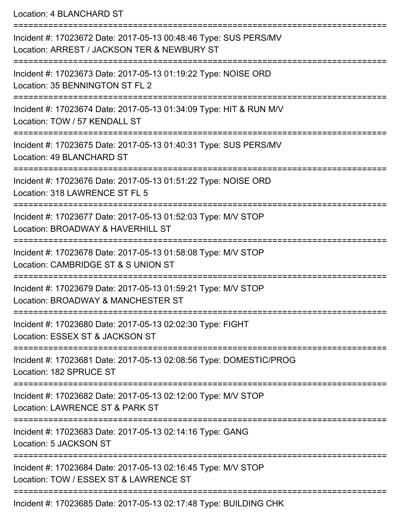Location: 4 BLANCHARD ST

| Incident #: 17023672 Date: 2017-05-13 00:48:46 Type: SUS PERS/MV<br>Location: ARREST / JACKSON TER & NEWBURY ST |
|-----------------------------------------------------------------------------------------------------------------|
| Incident #: 17023673 Date: 2017-05-13 01:19:22 Type: NOISE ORD<br>Location: 35 BENNINGTON ST FL 2               |
| Incident #: 17023674 Date: 2017-05-13 01:34:09 Type: HIT & RUN M/V<br>Location: TOW / 57 KENDALL ST             |
| Incident #: 17023675 Date: 2017-05-13 01:40:31 Type: SUS PERS/MV<br>Location: 49 BLANCHARD ST                   |
| Incident #: 17023676 Date: 2017-05-13 01:51:22 Type: NOISE ORD<br>Location: 318 LAWRENCE ST FL 5                |
| Incident #: 17023677 Date: 2017-05-13 01:52:03 Type: M/V STOP<br>Location: BROADWAY & HAVERHILL ST              |
| Incident #: 17023678 Date: 2017-05-13 01:58:08 Type: M/V STOP<br>Location: CAMBRIDGE ST & S UNION ST            |
| Incident #: 17023679 Date: 2017-05-13 01:59:21 Type: M/V STOP<br>Location: BROADWAY & MANCHESTER ST             |
| Incident #: 17023680 Date: 2017-05-13 02:02:30 Type: FIGHT<br>Location: ESSEX ST & JACKSON ST                   |
| Incident #: 17023681 Date: 2017-05-13 02:08:56 Type: DOMESTIC/PROG<br>Location: 182 SPRUCE ST                   |
| Incident #: 17023682 Date: 2017-05-13 02:12:00 Type: M/V STOP<br>Location: LAWRENCE ST & PARK ST                |
| Incident #: 17023683 Date: 2017-05-13 02:14:16 Type: GANG<br>Location: 5 JACKSON ST                             |
| Incident #: 17023684 Date: 2017-05-13 02:16:45 Type: M/V STOP<br>Location: TOW / ESSEX ST & LAWRENCE ST         |
| Incident #: 17023685 Date: 2017-05-13 02:17:48 Type: BUILDING CHK                                               |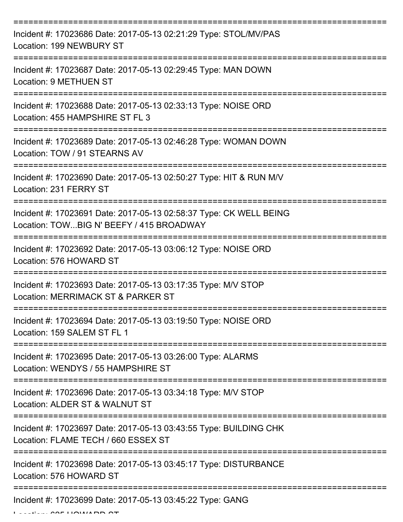| Incident #: 17023686 Date: 2017-05-13 02:21:29 Type: STOL/MV/PAS<br>Location: 199 NEWBURY ST                   |
|----------------------------------------------------------------------------------------------------------------|
| Incident #: 17023687 Date: 2017-05-13 02:29:45 Type: MAN DOWN<br>Location: 9 METHUEN ST                        |
| Incident #: 17023688 Date: 2017-05-13 02:33:13 Type: NOISE ORD<br>Location: 455 HAMPSHIRE ST FL 3              |
| Incident #: 17023689 Date: 2017-05-13 02:46:28 Type: WOMAN DOWN<br>Location: TOW / 91 STEARNS AV               |
| Incident #: 17023690 Date: 2017-05-13 02:50:27 Type: HIT & RUN M/V<br>Location: 231 FERRY ST                   |
| Incident #: 17023691 Date: 2017-05-13 02:58:37 Type: CK WELL BEING<br>Location: TOWBIG N' BEEFY / 415 BROADWAY |
| Incident #: 17023692 Date: 2017-05-13 03:06:12 Type: NOISE ORD<br>Location: 576 HOWARD ST                      |
| Incident #: 17023693 Date: 2017-05-13 03:17:35 Type: M/V STOP<br>Location: MERRIMACK ST & PARKER ST            |
| Incident #: 17023694 Date: 2017-05-13 03:19:50 Type: NOISE ORD<br>Location: 159 SALEM ST FL 1                  |
| Incident #: 17023695 Date: 2017-05-13 03:26:00 Type: ALARMS<br>Location: WENDYS / 55 HAMPSHIRE ST              |
| Incident #: 17023696 Date: 2017-05-13 03:34:18 Type: M/V STOP<br>Location: ALDER ST & WALNUT ST                |
| Incident #: 17023697 Date: 2017-05-13 03:43:55 Type: BUILDING CHK<br>Location: FLAME TECH / 660 ESSEX ST       |
| Incident #: 17023698 Date: 2017-05-13 03:45:17 Type: DISTURBANCE<br>Location: 576 HOWARD ST                    |
| Incident #: 17023699 Date: 2017-05-13 03:45:22 Type: GANG                                                      |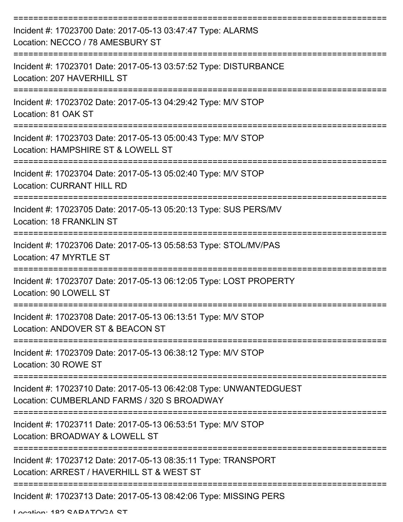| Incident #: 17023700 Date: 2017-05-13 03:47:47 Type: ALARMS<br>Location: NECCO / 78 AMESBURY ST                   |
|-------------------------------------------------------------------------------------------------------------------|
| Incident #: 17023701 Date: 2017-05-13 03:57:52 Type: DISTURBANCE<br>Location: 207 HAVERHILL ST                    |
| Incident #: 17023702 Date: 2017-05-13 04:29:42 Type: M/V STOP<br>Location: 81 OAK ST                              |
| Incident #: 17023703 Date: 2017-05-13 05:00:43 Type: M/V STOP<br>Location: HAMPSHIRE ST & LOWELL ST               |
| Incident #: 17023704 Date: 2017-05-13 05:02:40 Type: M/V STOP<br><b>Location: CURRANT HILL RD</b>                 |
| Incident #: 17023705 Date: 2017-05-13 05:20:13 Type: SUS PERS/MV<br>Location: 18 FRANKLIN ST                      |
| Incident #: 17023706 Date: 2017-05-13 05:58:53 Type: STOL/MV/PAS<br>Location: 47 MYRTLE ST                        |
| Incident #: 17023707 Date: 2017-05-13 06:12:05 Type: LOST PROPERTY<br>Location: 90 LOWELL ST                      |
| Incident #: 17023708 Date: 2017-05-13 06:13:51 Type: M/V STOP<br>Location: ANDOVER ST & BEACON ST                 |
| Incident #: 17023709 Date: 2017-05-13 06:38:12 Type: M/V STOP<br>Location: 30 ROWE ST                             |
| Incident #: 17023710 Date: 2017-05-13 06:42:08 Type: UNWANTEDGUEST<br>Location: CUMBERLAND FARMS / 320 S BROADWAY |
| Incident #: 17023711 Date: 2017-05-13 06:53:51 Type: M/V STOP<br>Location: BROADWAY & LOWELL ST                   |
| Incident #: 17023712 Date: 2017-05-13 08:35:11 Type: TRANSPORT<br>Location: ARREST / HAVERHILL ST & WEST ST       |
| Incident #: 17023713 Date: 2017-05-13 08:42:06 Type: MISSING PERS                                                 |

Location: 182 CADATOCA CT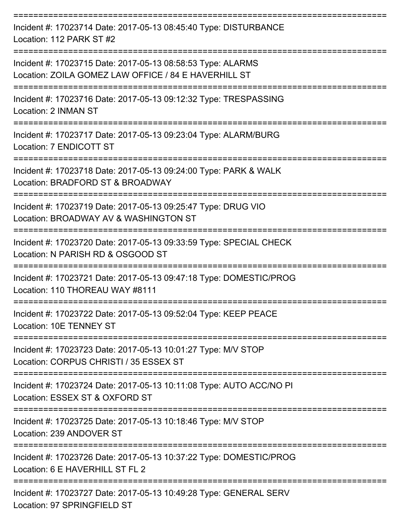| Incident #: 17023714 Date: 2017-05-13 08:45:40 Type: DISTURBANCE<br>Location: 112 PARK ST #2                        |
|---------------------------------------------------------------------------------------------------------------------|
| Incident #: 17023715 Date: 2017-05-13 08:58:53 Type: ALARMS<br>Location: ZOILA GOMEZ LAW OFFICE / 84 E HAVERHILL ST |
| Incident #: 17023716 Date: 2017-05-13 09:12:32 Type: TRESPASSING<br>Location: 2 INMAN ST                            |
| Incident #: 17023717 Date: 2017-05-13 09:23:04 Type: ALARM/BURG<br>Location: 7 ENDICOTT ST                          |
| Incident #: 17023718 Date: 2017-05-13 09:24:00 Type: PARK & WALK<br>Location: BRADFORD ST & BROADWAY                |
| Incident #: 17023719 Date: 2017-05-13 09:25:47 Type: DRUG VIO<br>Location: BROADWAY AV & WASHINGTON ST              |
| Incident #: 17023720 Date: 2017-05-13 09:33:59 Type: SPECIAL CHECK<br>Location: N PARISH RD & OSGOOD ST             |
| Incident #: 17023721 Date: 2017-05-13 09:47:18 Type: DOMESTIC/PROG<br>Location: 110 THOREAU WAY #8111               |
| Incident #: 17023722 Date: 2017-05-13 09:52:04 Type: KEEP PEACE<br>Location: 10E TENNEY ST                          |
| Incident #: 17023723 Date: 2017-05-13 10:01:27 Type: M/V STOP<br>Location: CORPUS CHRISTI / 35 ESSEX ST             |
| Incident #: 17023724 Date: 2017-05-13 10:11:08 Type: AUTO ACC/NO PI<br>Location: ESSEX ST & OXFORD ST               |
| Incident #: 17023725 Date: 2017-05-13 10:18:46 Type: M/V STOP<br>Location: 239 ANDOVER ST                           |
| Incident #: 17023726 Date: 2017-05-13 10:37:22 Type: DOMESTIC/PROG<br>Location: 6 E HAVERHILL ST FL 2               |
| Incident #: 17023727 Date: 2017-05-13 10:49:28 Type: GENERAL SERV<br>Location: 97 SPRINGFIELD ST                    |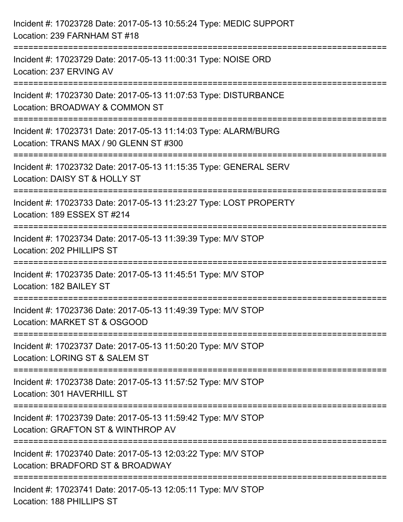| Incident #: 17023728 Date: 2017-05-13 10:55:24 Type: MEDIC SUPPORT<br>Location: 239 FARNHAM ST #18                                       |
|------------------------------------------------------------------------------------------------------------------------------------------|
| ========================<br>Incident #: 17023729 Date: 2017-05-13 11:00:31 Type: NOISE ORD<br>Location: 237 ERVING AV                    |
| Incident #: 17023730 Date: 2017-05-13 11:07:53 Type: DISTURBANCE<br>Location: BROADWAY & COMMON ST<br>================================== |
| Incident #: 17023731 Date: 2017-05-13 11:14:03 Type: ALARM/BURG<br>Location: TRANS MAX / 90 GLENN ST #300                                |
| Incident #: 17023732 Date: 2017-05-13 11:15:35 Type: GENERAL SERV<br>Location: DAISY ST & HOLLY ST                                       |
| Incident #: 17023733 Date: 2017-05-13 11:23:27 Type: LOST PROPERTY<br>Location: 189 ESSEX ST #214                                        |
| Incident #: 17023734 Date: 2017-05-13 11:39:39 Type: M/V STOP<br>Location: 202 PHILLIPS ST                                               |
| Incident #: 17023735 Date: 2017-05-13 11:45:51 Type: M/V STOP<br>Location: 182 BAILEY ST                                                 |
| Incident #: 17023736 Date: 2017-05-13 11:49:39 Type: M/V STOP<br>Location: MARKET ST & OSGOOD                                            |
| Incident #: 17023737 Date: 2017-05-13 11:50:20 Type: M/V STOP<br>Location: LORING ST & SALEM ST                                          |
| Incident #: 17023738 Date: 2017-05-13 11:57:52 Type: M/V STOP<br>Location: 301 HAVERHILL ST                                              |
| Incident #: 17023739 Date: 2017-05-13 11:59:42 Type: M/V STOP<br>Location: GRAFTON ST & WINTHROP AV                                      |
| Incident #: 17023740 Date: 2017-05-13 12:03:22 Type: M/V STOP<br>Location: BRADFORD ST & BROADWAY                                        |
| Incident #: 17023741 Date: 2017-05-13 12:05:11 Type: M/V STOP<br>Location: 188 PHILLIPS ST                                               |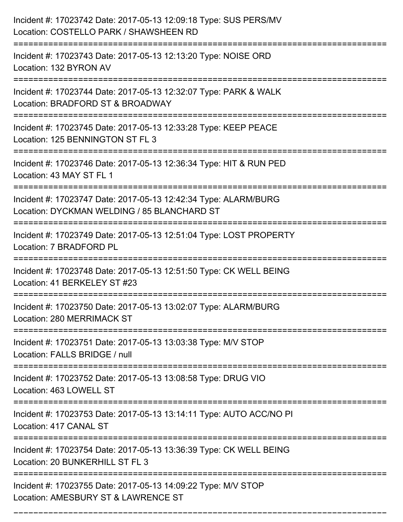| Incident #: 17023742 Date: 2017-05-13 12:09:18 Type: SUS PERS/MV<br>Location: COSTELLO PARK / SHAWSHEEN RD<br>================================== |
|--------------------------------------------------------------------------------------------------------------------------------------------------|
| Incident #: 17023743 Date: 2017-05-13 12:13:20 Type: NOISE ORD<br>Location: 132 BYRON AV                                                         |
| Incident #: 17023744 Date: 2017-05-13 12:32:07 Type: PARK & WALK<br>Location: BRADFORD ST & BROADWAY                                             |
| Incident #: 17023745 Date: 2017-05-13 12:33:28 Type: KEEP PEACE<br>Location: 125 BENNINGTON ST FL 3<br>=======================                   |
| Incident #: 17023746 Date: 2017-05-13 12:36:34 Type: HIT & RUN PED<br>Location: 43 MAY ST FL 1                                                   |
| Incident #: 17023747 Date: 2017-05-13 12:42:34 Type: ALARM/BURG<br>Location: DYCKMAN WELDING / 85 BLANCHARD ST<br>:============================= |
| Incident #: 17023749 Date: 2017-05-13 12:51:04 Type: LOST PROPERTY<br>Location: 7 BRADFORD PL                                                    |
| Incident #: 17023748 Date: 2017-05-13 12:51:50 Type: CK WELL BEING<br>Location: 41 BERKELEY ST #23                                               |
| Incident #: 17023750 Date: 2017-05-13 13:02:07 Type: ALARM/BURG<br>Location: 280 MERRIMACK ST                                                    |
| Incident #: 17023751 Date: 2017-05-13 13:03:38 Type: M/V STOP<br>Location: FALLS BRIDGE / null                                                   |
| Incident #: 17023752 Date: 2017-05-13 13:08:58 Type: DRUG VIO<br>Location: 463 LOWELL ST                                                         |
| Incident #: 17023753 Date: 2017-05-13 13:14:11 Type: AUTO ACC/NO PI<br>Location: 417 CANAL ST                                                    |
| Incident #: 17023754 Date: 2017-05-13 13:36:39 Type: CK WELL BEING<br>Location: 20 BUNKERHILL ST FL 3                                            |
| Incident #: 17023755 Date: 2017-05-13 14:09:22 Type: M/V STOP<br>Location: AMESBURY ST & LAWRENCE ST                                             |

===========================================================================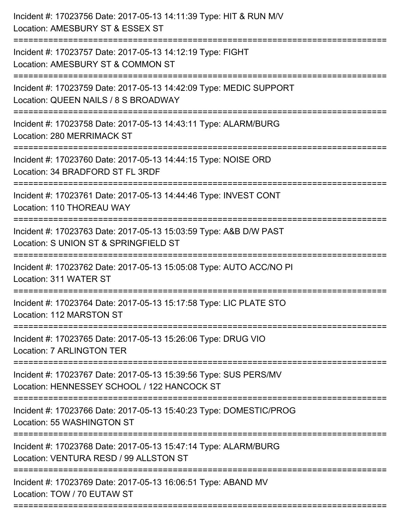| Incident #: 17023756 Date: 2017-05-13 14:11:39 Type: HIT & RUN M/V<br>Location: AMESBURY ST & ESSEX ST<br>==========================             |
|--------------------------------------------------------------------------------------------------------------------------------------------------|
| Incident #: 17023757 Date: 2017-05-13 14:12:19 Type: FIGHT<br>Location: AMESBURY ST & COMMON ST                                                  |
| Incident #: 17023759 Date: 2017-05-13 14:42:09 Type: MEDIC SUPPORT<br>Location: QUEEN NAILS / 8 S BROADWAY<br>================================== |
| Incident #: 17023758 Date: 2017-05-13 14:43:11 Type: ALARM/BURG<br>Location: 280 MERRIMACK ST                                                    |
| Incident #: 17023760 Date: 2017-05-13 14:44:15 Type: NOISE ORD<br>Location: 34 BRADFORD ST FL 3RDF                                               |
| Incident #: 17023761 Date: 2017-05-13 14:44:46 Type: INVEST CONT<br>Location: 110 THOREAU WAY                                                    |
| Incident #: 17023763 Date: 2017-05-13 15:03:59 Type: A&B D/W PAST<br>Location: S UNION ST & SPRINGFIELD ST                                       |
| Incident #: 17023762 Date: 2017-05-13 15:05:08 Type: AUTO ACC/NO PI<br>Location: 311 WATER ST                                                    |
| Incident #: 17023764 Date: 2017-05-13 15:17:58 Type: LIC PLATE STO<br>Location: 112 MARSTON ST                                                   |
| Incident #: 17023765 Date: 2017-05-13 15:26:06 Type: DRUG VIO<br>Location: 7 ARLINGTON TER                                                       |
| Incident #: 17023767 Date: 2017-05-13 15:39:56 Type: SUS PERS/MV<br>Location: HENNESSEY SCHOOL / 122 HANCOCK ST                                  |
| Incident #: 17023766 Date: 2017-05-13 15:40:23 Type: DOMESTIC/PROG<br>Location: 55 WASHINGTON ST                                                 |
| Incident #: 17023768 Date: 2017-05-13 15:47:14 Type: ALARM/BURG<br>Location: VENTURA RESD / 99 ALLSTON ST                                        |
| Incident #: 17023769 Date: 2017-05-13 16:06:51 Type: ABAND MV<br>Location: TOW / 70 EUTAW ST                                                     |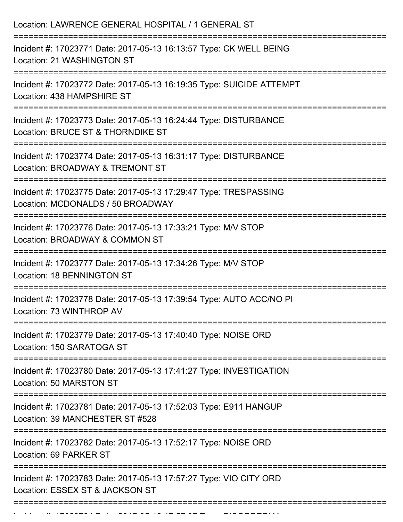| Location: LAWRENCE GENERAL HOSPITAL / 1 GENERAL ST                                                                                        |
|-------------------------------------------------------------------------------------------------------------------------------------------|
| Incident #: 17023771 Date: 2017-05-13 16:13:57 Type: CK WELL BEING<br>Location: 21 WASHINGTON ST                                          |
| Incident #: 17023772 Date: 2017-05-13 16:19:35 Type: SUICIDE ATTEMPT<br>Location: 438 HAMPSHIRE ST                                        |
| Incident #: 17023773 Date: 2017-05-13 16:24:44 Type: DISTURBANCE<br>Location: BRUCE ST & THORNDIKE ST<br>==============================   |
| Incident #: 17023774 Date: 2017-05-13 16:31:17 Type: DISTURBANCE<br>Location: BROADWAY & TREMONT ST                                       |
| Incident #: 17023775 Date: 2017-05-13 17:29:47 Type: TRESPASSING<br>Location: MCDONALDS / 50 BROADWAY<br>________________________________ |
| Incident #: 17023776 Date: 2017-05-13 17:33:21 Type: M/V STOP<br>Location: BROADWAY & COMMON ST<br>==========================             |
| Incident #: 17023777 Date: 2017-05-13 17:34:26 Type: M/V STOP<br><b>Location: 18 BENNINGTON ST</b>                                        |
| Incident #: 17023778 Date: 2017-05-13 17:39:54 Type: AUTO ACC/NO PI<br>Location: 73 WINTHROP AV                                           |
| Incident #: 17023779 Date: 2017-05-13 17:40:40 Type: NOISE ORD<br>Location: 150 SARATOGA ST                                               |
| Incident #: 17023780 Date: 2017-05-13 17:41:27 Type: INVESTIGATION<br>Location: 50 MARSTON ST                                             |
| Incident #: 17023781 Date: 2017-05-13 17:52:03 Type: E911 HANGUP<br>Location: 39 MANCHESTER ST #528                                       |
| Incident #: 17023782 Date: 2017-05-13 17:52:17 Type: NOISE ORD<br>Location: 69 PARKER ST                                                  |
| Incident #: 17023783 Date: 2017-05-13 17:57:27 Type: VIO CITY ORD<br>Location: ESSEX ST & JACKSON ST                                      |
|                                                                                                                                           |

Incident #: 17023784 Date: 2017 05 13 17:57:37 Type: 2017 Of Assembly 2017 Type: Disorderly 2017 Type: 2017 Ty<br>.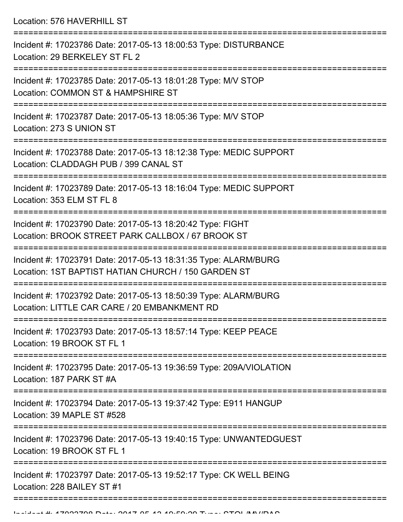Location: 576 HAVERHILL ST

| Incident #: 17023786 Date: 2017-05-13 18:00:53 Type: DISTURBANCE<br>Location: 29 BERKELEY ST FL 2                      |
|------------------------------------------------------------------------------------------------------------------------|
| Incident #: 17023785 Date: 2017-05-13 18:01:28 Type: M/V STOP<br>Location: COMMON ST & HAMPSHIRE ST                    |
| Incident #: 17023787 Date: 2017-05-13 18:05:36 Type: M/V STOP<br>Location: 273 S UNION ST                              |
| Incident #: 17023788 Date: 2017-05-13 18:12:38 Type: MEDIC SUPPORT<br>Location: CLADDAGH PUB / 399 CANAL ST            |
| Incident #: 17023789 Date: 2017-05-13 18:16:04 Type: MEDIC SUPPORT<br>Location: 353 ELM ST FL 8                        |
| Incident #: 17023790 Date: 2017-05-13 18:20:42 Type: FIGHT<br>Location: BROOK STREET PARK CALLBOX / 67 BROOK ST        |
| Incident #: 17023791 Date: 2017-05-13 18:31:35 Type: ALARM/BURG<br>Location: 1ST BAPTIST HATIAN CHURCH / 150 GARDEN ST |
| Incident #: 17023792 Date: 2017-05-13 18:50:39 Type: ALARM/BURG<br>Location: LITTLE CAR CARE / 20 EMBANKMENT RD        |
| Incident #: 17023793 Date: 2017-05-13 18:57:14 Type: KEEP PEACE<br>Location: 19 BROOK ST FL 1                          |
| Incident #: 17023795 Date: 2017-05-13 19:36:59 Type: 209A/VIOLATION<br>Location: 187 PARK ST #A                        |
| Incident #: 17023794 Date: 2017-05-13 19:37:42 Type: E911 HANGUP<br>Location: 39 MAPLE ST #528                         |
| Incident #: 17023796 Date: 2017-05-13 19:40:15 Type: UNWANTEDGUEST<br>Location: 19 BROOK ST FL 1                       |
| Incident #: 17023797 Date: 2017-05-13 19:52:17 Type: CK WELL BEING<br>Location: 228 BAILEY ST #1                       |
|                                                                                                                        |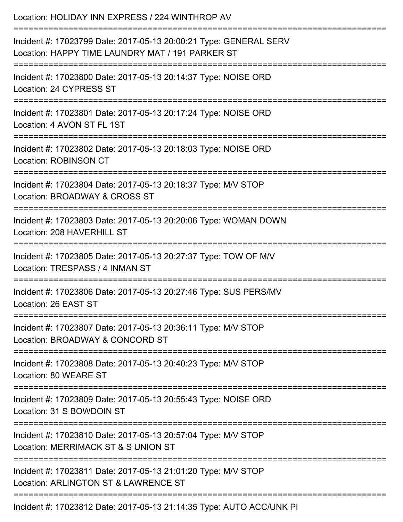| Location: HOLIDAY INN EXPRESS / 224 WINTHROP AV                                                                                                                                   |
|-----------------------------------------------------------------------------------------------------------------------------------------------------------------------------------|
| Incident #: 17023799 Date: 2017-05-13 20:00:21 Type: GENERAL SERV<br>Location: HAPPY TIME LAUNDRY MAT / 191 PARKER ST<br>=============================<br>:====================== |
| Incident #: 17023800 Date: 2017-05-13 20:14:37 Type: NOISE ORD<br>Location: 24 CYPRESS ST                                                                                         |
| Incident #: 17023801 Date: 2017-05-13 20:17:24 Type: NOISE ORD<br>Location: 4 AVON ST FL 1ST                                                                                      |
| Incident #: 17023802 Date: 2017-05-13 20:18:03 Type: NOISE ORD<br><b>Location: ROBINSON CT</b>                                                                                    |
| Incident #: 17023804 Date: 2017-05-13 20:18:37 Type: M/V STOP<br>Location: BROADWAY & CROSS ST                                                                                    |
| Incident #: 17023803 Date: 2017-05-13 20:20:06 Type: WOMAN DOWN<br>Location: 208 HAVERHILL ST                                                                                     |
| Incident #: 17023805 Date: 2017-05-13 20:27:37 Type: TOW OF M/V<br>Location: TRESPASS / 4 INMAN ST                                                                                |
| Incident #: 17023806 Date: 2017-05-13 20:27:46 Type: SUS PERS/MV<br>Location: 26 EAST ST                                                                                          |
| ----------------------<br>Incident #: 17023807 Date: 2017-05-13 20:36:11 Type: M/V STOP<br>Location: BROADWAY & CONCORD ST                                                        |
| Incident #: 17023808 Date: 2017-05-13 20:40:23 Type: M/V STOP<br>Location: 80 WEARE ST                                                                                            |
| Incident #: 17023809 Date: 2017-05-13 20:55:43 Type: NOISE ORD<br>Location: 31 S BOWDOIN ST                                                                                       |
| _______________________<br>Incident #: 17023810 Date: 2017-05-13 20:57:04 Type: M/V STOP<br>Location: MERRIMACK ST & S UNION ST                                                   |
| Incident #: 17023811 Date: 2017-05-13 21:01:20 Type: M/V STOP<br>Location: ARLINGTON ST & LAWRENCE ST                                                                             |
| Incident #: 17023812 Date: 2017-05-13 21:14:35 Type: AUTO ACC/UNK PI                                                                                                              |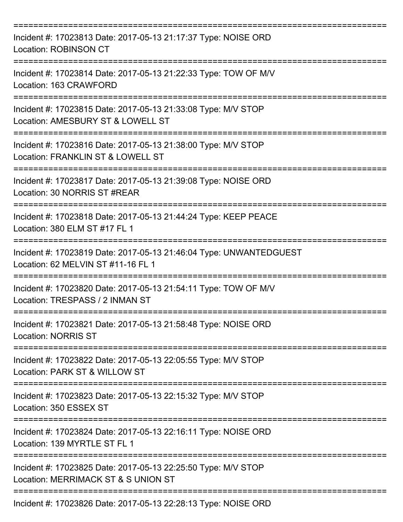| Incident #: 17023813 Date: 2017-05-13 21:17:37 Type: NOISE ORD<br>Location: ROBINSON CT                                             |
|-------------------------------------------------------------------------------------------------------------------------------------|
| Incident #: 17023814 Date: 2017-05-13 21:22:33 Type: TOW OF M/V<br>Location: 163 CRAWFORD                                           |
| Incident #: 17023815 Date: 2017-05-13 21:33:08 Type: M/V STOP<br>Location: AMESBURY ST & LOWELL ST                                  |
| Incident #: 17023816 Date: 2017-05-13 21:38:00 Type: M/V STOP<br>Location: FRANKLIN ST & LOWELL ST                                  |
| Incident #: 17023817 Date: 2017-05-13 21:39:08 Type: NOISE ORD<br>Location: 30 NORRIS ST #REAR                                      |
| Incident #: 17023818 Date: 2017-05-13 21:44:24 Type: KEEP PEACE<br>Location: 380 ELM ST #17 FL 1                                    |
| Incident #: 17023819 Date: 2017-05-13 21:46:04 Type: UNWANTEDGUEST<br>Location: 62 MELVIN ST #11-16 FL 1                            |
| Incident #: 17023820 Date: 2017-05-13 21:54:11 Type: TOW OF M/V<br>Location: TRESPASS / 2 INMAN ST                                  |
| ===============<br>Incident #: 17023821 Date: 2017-05-13 21:58:48 Type: NOISE ORD<br><b>Location: NORRIS ST</b><br>:=============== |
| Incident #: 17023822 Date: 2017-05-13 22:05:55 Type: M/V STOP<br>Location: PARK ST & WILLOW ST                                      |
| Incident #: 17023823 Date: 2017-05-13 22:15:32 Type: M/V STOP<br>Location: 350 ESSEX ST                                             |
| Incident #: 17023824 Date: 2017-05-13 22:16:11 Type: NOISE ORD<br>Location: 139 MYRTLE ST FL 1                                      |
| Incident #: 17023825 Date: 2017-05-13 22:25:50 Type: M/V STOP<br>Location: MERRIMACK ST & S UNION ST                                |
| Incident #: 17023826 Date: 2017-05-13 22:28:13 Type: NOISE ORD                                                                      |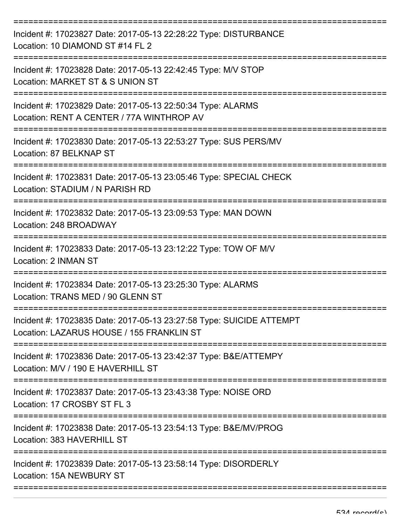| Incident #: 17023827 Date: 2017-05-13 22:28:22 Type: DISTURBANCE<br>Location: 10 DIAMOND ST #14 FL 2              |
|-------------------------------------------------------------------------------------------------------------------|
| Incident #: 17023828 Date: 2017-05-13 22:42:45 Type: M/V STOP<br>Location: MARKET ST & S UNION ST                 |
| Incident #: 17023829 Date: 2017-05-13 22:50:34 Type: ALARMS<br>Location: RENT A CENTER / 77A WINTHROP AV          |
| Incident #: 17023830 Date: 2017-05-13 22:53:27 Type: SUS PERS/MV<br>Location: 87 BELKNAP ST                       |
| Incident #: 17023831 Date: 2017-05-13 23:05:46 Type: SPECIAL CHECK<br>Location: STADIUM / N PARISH RD             |
| Incident #: 17023832 Date: 2017-05-13 23:09:53 Type: MAN DOWN<br>Location: 248 BROADWAY                           |
| Incident #: 17023833 Date: 2017-05-13 23:12:22 Type: TOW OF M/V<br><b>Location: 2 INMAN ST</b>                    |
| Incident #: 17023834 Date: 2017-05-13 23:25:30 Type: ALARMS<br>Location: TRANS MED / 90 GLENN ST                  |
| Incident #: 17023835 Date: 2017-05-13 23:27:58 Type: SUICIDE ATTEMPT<br>Location: LAZARUS HOUSE / 155 FRANKLIN ST |
| Incident #: 17023836 Date: 2017-05-13 23:42:37 Type: B&E/ATTEMPY<br>Location: M/V / 190 E HAVERHILL ST            |
| Incident #: 17023837 Date: 2017-05-13 23:43:38 Type: NOISE ORD<br>Location: 17 CROSBY ST FL 3                     |
| Incident #: 17023838 Date: 2017-05-13 23:54:13 Type: B&E/MV/PROG<br>Location: 383 HAVERHILL ST                    |
| Incident #: 17023839 Date: 2017-05-13 23:58:14 Type: DISORDERLY<br>Location: 15A NEWBURY ST                       |
|                                                                                                                   |